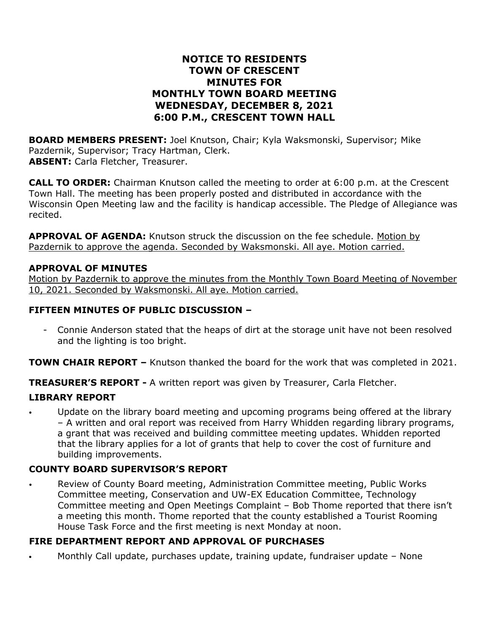## **NOTICE TO RESIDENTS TOWN OF CRESCENT MINUTES FOR MONTHLY TOWN BOARD MEETING WEDNESDAY, DECEMBER 8, 2021 6:00 P.M., CRESCENT TOWN HALL**

**BOARD MEMBERS PRESENT:** Joel Knutson, Chair; Kyla Waksmonski, Supervisor; Mike Pazdernik, Supervisor; Tracy Hartman, Clerk. **ABSENT:** Carla Fletcher, Treasurer.

**CALL TO ORDER:** Chairman Knutson called the meeting to order at 6:00 p.m. at the Crescent Town Hall. The meeting has been properly posted and distributed in accordance with the Wisconsin Open Meeting law and the facility is handicap accessible. The Pledge of Allegiance was recited.

**APPROVAL OF AGENDA:** Knutson struck the discussion on the fee schedule. Motion by Pazdernik to approve the agenda. Seconded by Waksmonski. All aye. Motion carried.

### **APPROVAL OF MINUTES**

Motion by Pazdernik to approve the minutes from the Monthly Town Board Meeting of November 10, 2021. Seconded by Waksmonski. All aye. Motion carried.

### **FIFTEEN MINUTES OF PUBLIC DISCUSSION –**

Connie Anderson stated that the heaps of dirt at the storage unit have not been resolved and the lighting is too bright.

**TOWN CHAIR REPORT –** Knutson thanked the board for the work that was completed in 2021.

**TREASURER'S REPORT -** A written report was given by Treasurer, Carla Fletcher.

## **LIBRARY REPORT**

• Update on the library board meeting and upcoming programs being offered at the library – A written and oral report was received from Harry Whidden regarding library programs, a grant that was received and building committee meeting updates. Whidden reported that the library applies for a lot of grants that help to cover the cost of furniture and building improvements.

### **COUNTY BOARD SUPERVISOR'S REPORT**

Review of County Board meeting, Administration Committee meeting, Public Works Committee meeting, Conservation and UW-EX Education Committee, Technology Committee meeting and Open Meetings Complaint – Bob Thome reported that there isn't a meeting this month. Thome reported that the county established a Tourist Rooming House Task Force and the first meeting is next Monday at noon.

## **FIRE DEPARTMENT REPORT AND APPROVAL OF PURCHASES**

• Monthly Call update, purchases update, training update, fundraiser update – None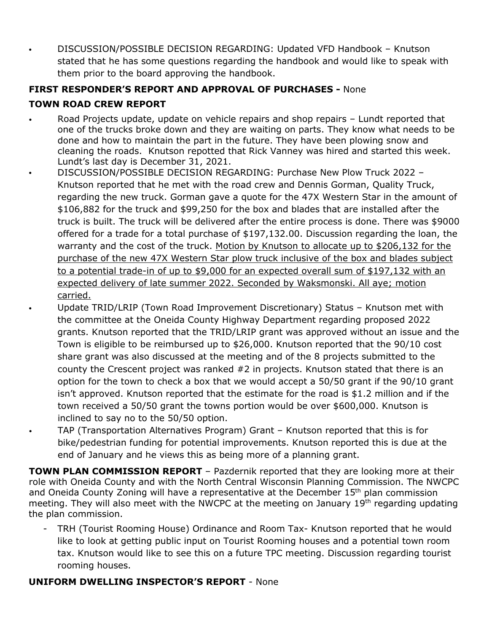• DISCUSSION/POSSIBLE DECISION REGARDING: Updated VFD Handbook – Knutson stated that he has some questions regarding the handbook and would like to speak with them prior to the board approving the handbook.

# **FIRST RESPONDER'S REPORT AND APPROVAL OF PURCHASES -** None **TOWN ROAD CREW REPORT**

- Road Projects update, update on vehicle repairs and shop repairs Lundt reported that one of the trucks broke down and they are waiting on parts. They know what needs to be done and how to maintain the part in the future. They have been plowing snow and cleaning the roads. Knutson repotted that Rick Vanney was hired and started this week. Lundt's last day is December 31, 2021.
	- DISCUSSION/POSSIBLE DECISION REGARDING: Purchase New Plow Truck 2022 Knutson reported that he met with the road crew and Dennis Gorman, Quality Truck, regarding the new truck. Gorman gave a quote for the 47X Western Star in the amount of \$106,882 for the truck and \$99,250 for the box and blades that are installed after the truck is built. The truck will be delivered after the entire process is done. There was \$9000 offered for a trade for a total purchase of \$197,132.00. Discussion regarding the loan, the warranty and the cost of the truck. Motion by Knutson to allocate up to \$206,132 for the purchase of the new 47X Western Star plow truck inclusive of the box and blades subject to a potential trade-in of up to \$9,000 for an expected overall sum of \$197,132 with an expected delivery of late summer 2022. Seconded by Waksmonski. All aye; motion carried.
		- Update TRID/LRIP (Town Road Improvement Discretionary) Status Knutson met with the committee at the Oneida County Highway Department regarding proposed 2022 grants. Knutson reported that the TRID/LRIP grant was approved without an issue and the Town is eligible to be reimbursed up to \$26,000. Knutson reported that the 90/10 cost share grant was also discussed at the meeting and of the 8 projects submitted to the county the Crescent project was ranked #2 in projects. Knutson stated that there is an option for the town to check a box that we would accept a 50/50 grant if the 90/10 grant isn't approved. Knutson reported that the estimate for the road is \$1.2 million and if the town received a 50/50 grant the towns portion would be over \$600,000. Knutson is inclined to say no to the 50/50 option.
- TAP (Transportation Alternatives Program) Grant Knutson reported that this is for bike/pedestrian funding for potential improvements. Knutson reported this is due at the end of January and he views this as being more of a planning grant.

**TOWN PLAN COMMISSION REPORT** – Pazdernik reported that they are looking more at their role with Oneida County and with the North Central Wisconsin Planning Commission. The NWCPC and Oneida County Zoning will have a representative at the December 15<sup>th</sup> plan commission meeting. They will also meet with the NWCPC at the meeting on January 19<sup>th</sup> regarding updating the plan commission.

- TRH (Tourist Rooming House) Ordinance and Room Tax- Knutson reported that he would like to look at getting public input on Tourist Rooming houses and a potential town room tax. Knutson would like to see this on a future TPC meeting. Discussion regarding tourist rooming houses.

## **UNIFORM DWELLING INSPECTOR'S REPORT** - None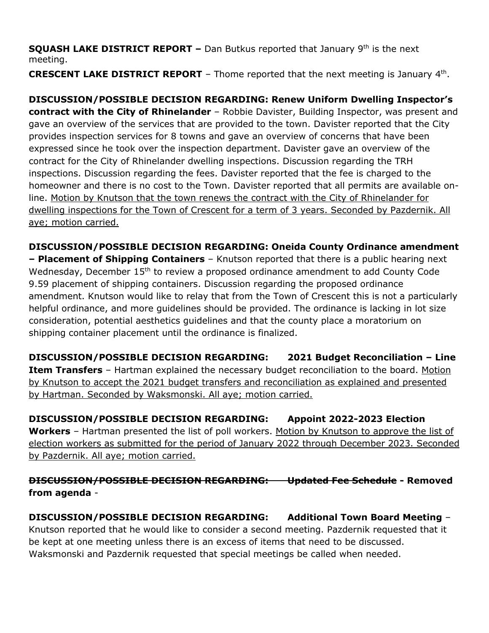**SQUASH LAKE DISTRICT REPORT –** Dan Butkus reported that January 9th is the next meeting.

**CRESCENT LAKE DISTRICT REPORT** – Thome reported that the next meeting is January 4th.

**DISCUSSION/POSSIBLE DECISION REGARDING: Renew Uniform Dwelling Inspector's contract with the City of Rhinelander** – Robbie Davister, Building Inspector, was present and gave an overview of the services that are provided to the town. Davister reported that the City provides inspection services for 8 towns and gave an overview of concerns that have been expressed since he took over the inspection department. Davister gave an overview of the contract for the City of Rhinelander dwelling inspections. Discussion regarding the TRH inspections. Discussion regarding the fees. Davister reported that the fee is charged to the homeowner and there is no cost to the Town. Davister reported that all permits are available online. Motion by Knutson that the town renews the contract with the City of Rhinelander for dwelling inspections for the Town of Crescent for a term of 3 years. Seconded by Pazdernik. All aye; motion carried.

**DISCUSSION/POSSIBLE DECISION REGARDING: Oneida County Ordinance amendment**

**– Placement of Shipping Containers** – Knutson reported that there is a public hearing next Wednesday, December 15<sup>th</sup> to review a proposed ordinance amendment to add County Code 9.59 placement of shipping containers. Discussion regarding the proposed ordinance amendment. Knutson would like to relay that from the Town of Crescent this is not a particularly helpful ordinance, and more guidelines should be provided. The ordinance is lacking in lot size consideration, potential aesthetics guidelines and that the county place a moratorium on shipping container placement until the ordinance is finalized.

**DISCUSSION/POSSIBLE DECISION REGARDING: 2021 Budget Reconciliation – Line Item Transfers** - Hartman explained the necessary budget reconciliation to the board. Motion by Knutson to accept the 2021 budget transfers and reconciliation as explained and presented by Hartman. Seconded by Waksmonski. All aye; motion carried.

**DISCUSSION/POSSIBLE DECISION REGARDING: Appoint 2022-2023 Election Workers** – Hartman presented the list of poll workers. Motion by Knutson to approve the list of election workers as submitted for the period of January 2022 through December 2023. Seconded by Pazdernik. All aye; motion carried.

**DISCUSSION/POSSIBLE DECISION REGARDING: Updated Fee Schedule - Removed from agenda** -

**DISCUSSION/POSSIBLE DECISION REGARDING: Additional Town Board Meeting** – Knutson reported that he would like to consider a second meeting. Pazdernik requested that it be kept at one meeting unless there is an excess of items that need to be discussed. Waksmonski and Pazdernik requested that special meetings be called when needed.